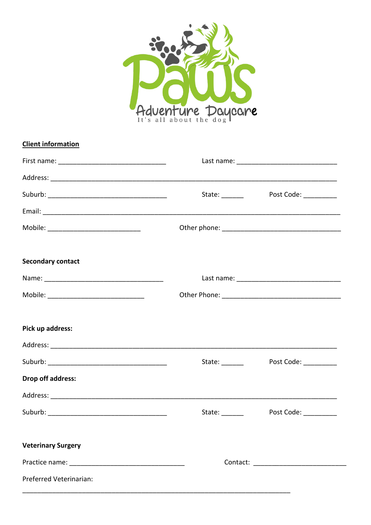

| <b>Client information</b> |                 |                       |
|---------------------------|-----------------|-----------------------|
|                           |                 |                       |
|                           |                 |                       |
|                           | State: ________ | Post Code: __________ |
|                           |                 |                       |
|                           |                 |                       |
| <b>Secondary contact</b>  |                 |                       |
|                           |                 |                       |
|                           |                 |                       |
| Pick up address:          |                 |                       |
|                           |                 |                       |
|                           | State: ________ | Post Code: __________ |
| Drop off address:         |                 |                       |
|                           |                 |                       |
|                           | State: _______  | Post Code: _________  |
| <b>Veterinary Surgery</b> |                 |                       |
|                           |                 |                       |
| Preferred Veterinarian:   |                 |                       |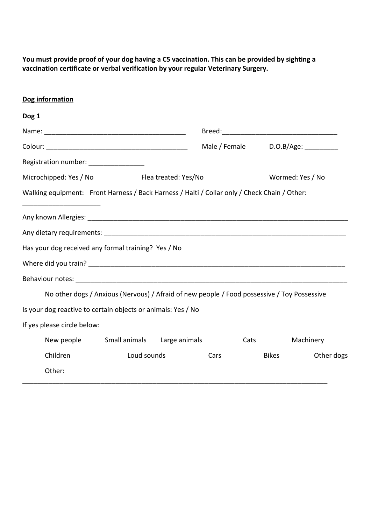**You must provide proof of your dog having a C5 vaccination. This can be provided by sighting a vaccination certificate or verbal verification by your regular Veterinary Surgery.** 

## **Dog information**

| Dog 1                                                                                        |                      |  |      |                               |                  |
|----------------------------------------------------------------------------------------------|----------------------|--|------|-------------------------------|------------------|
|                                                                                              |                      |  |      |                               |                  |
|                                                                                              |                      |  |      | Male / Female D.O.B/Age: 1990 |                  |
| Registration number: ________________                                                        |                      |  |      |                               |                  |
| Microchipped: Yes / No                                                                       | Flea treated: Yes/No |  |      |                               | Wormed: Yes / No |
| Walking equipment: Front Harness / Back Harness / Halti / Collar only / Check Chain / Other: |                      |  |      |                               |                  |
|                                                                                              |                      |  |      |                               |                  |
|                                                                                              |                      |  |      |                               |                  |
| Has your dog received any formal training? Yes / No                                          |                      |  |      |                               |                  |
|                                                                                              |                      |  |      |                               |                  |
|                                                                                              |                      |  |      |                               |                  |
| No other dogs / Anxious (Nervous) / Afraid of new people / Food possessive / Toy Possessive  |                      |  |      |                               |                  |
| Is your dog reactive to certain objects or animals: Yes / No                                 |                      |  |      |                               |                  |
| If yes please circle below:                                                                  |                      |  |      |                               |                  |
| New people Small animals Large animals                                                       |                      |  |      | <b>Cats</b>                   | Machinery        |
| Children                                                                                     | Loud sounds          |  | Cars | <b>Bikes</b>                  | Other dogs       |
| Other:                                                                                       |                      |  |      |                               |                  |